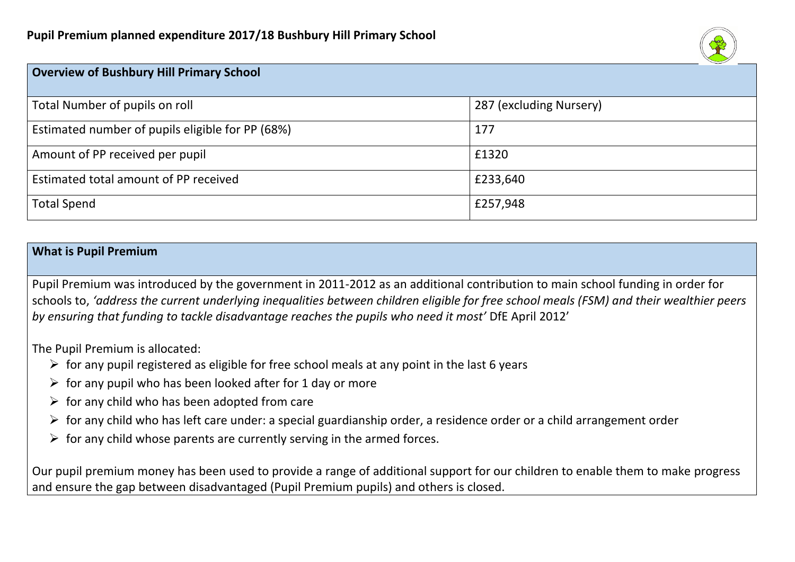

| <b>Overview of Bushbury Hill Primary School</b>  |                         |
|--------------------------------------------------|-------------------------|
| Total Number of pupils on roll                   | 287 (excluding Nursery) |
| Estimated number of pupils eligible for PP (68%) | 177                     |
| Amount of PP received per pupil                  | £1320                   |
| Estimated total amount of PP received            | £233,640                |
| <b>Total Spend</b>                               | £257,948                |

#### **What is Pupil Premium**

Pupil Premium was introduced by the government in 2011-2012 as an additional contribution to main school funding in order for schools to, *'address the current underlying inequalities between children eligible for free school meals (FSM) and their wealthier peers by ensuring that funding to tackle disadvantage reaches the pupils who need it most'* DfE April 2012'

The Pupil Premium is allocated:

- $\triangleright$  for any pupil registered as eligible for free school meals at any point in the last 6 years
- $\triangleright$  for any pupil who has been looked after for 1 day or more
- $\triangleright$  for any child who has been adopted from care
- $\triangleright$  for any child who has left care under: a special guardianship order, a residence order or a child arrangement order
- $\triangleright$  for any child whose parents are currently serving in the armed forces.

Our pupil premium money has been used to provide a range of additional support for our children to enable them to make progress and ensure the gap between disadvantaged (Pupil Premium pupils) and others is closed.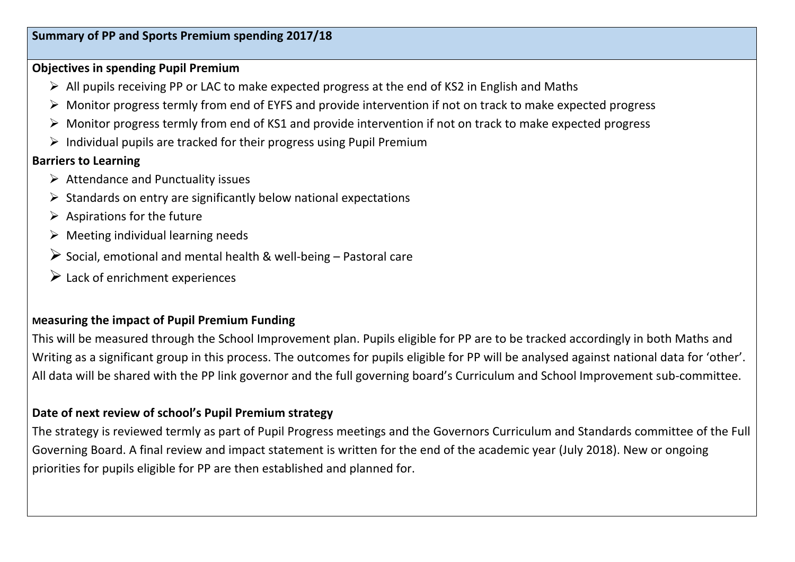## **Objectives in spending Pupil Premium**

- All pupils receiving PP or LAC to make expected progress at the end of KS2 in English and Maths
- Monitor progress termly from end of EYFS and provide intervention if not on track to make expected progress
- $\triangleright$  Monitor progress termly from end of KS1 and provide intervention if not on track to make expected progress
- $\triangleright$  Individual pupils are tracked for their progress using Pupil Premium

## **Barriers to Learning**

- $\triangleright$  Attendance and Punctuality issues
- $\triangleright$  Standards on entry are significantly below national expectations
- $\triangleright$  Aspirations for the future
- $\triangleright$  Meeting individual learning needs
- $\triangleright$  Social, emotional and mental health & well-being Pastoral care
- $\triangleright$  Lack of enrichment experiences

## **Measuring the impact of Pupil Premium Funding**

This will be measured through the School Improvement plan. Pupils eligible for PP are to be tracked accordingly in both Maths and Writing as a significant group in this process. The outcomes for pupils eligible for PP will be analysed against national data for 'other'. All data will be shared with the PP link governor and the full governing board's Curriculum and School Improvement sub-committee.

## **Date of next review of school's Pupil Premium strategy**

The strategy is reviewed termly as part of Pupil Progress meetings and the Governors Curriculum and Standards committee of the Full Governing Board. A final review and impact statement is written for the end of the academic year (July 2018). New or ongoing priorities for pupils eligible for PP are then established and planned for.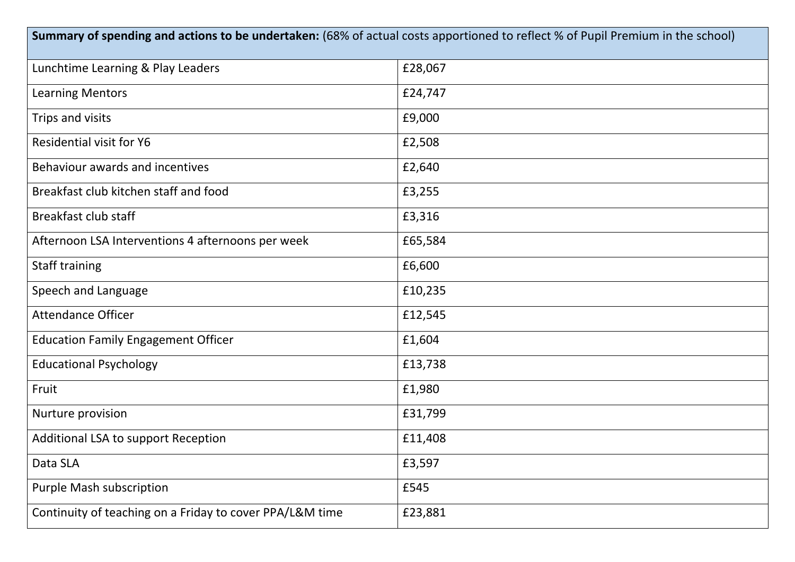| Summary of spending and actions to be undertaken: (68% of actual costs apportioned to reflect % of Pupil Premium in the school) |         |  |  |
|---------------------------------------------------------------------------------------------------------------------------------|---------|--|--|
| Lunchtime Learning & Play Leaders                                                                                               | £28,067 |  |  |
| <b>Learning Mentors</b>                                                                                                         | £24,747 |  |  |
| Trips and visits                                                                                                                | £9,000  |  |  |
| <b>Residential visit for Y6</b>                                                                                                 | £2,508  |  |  |
| Behaviour awards and incentives                                                                                                 | £2,640  |  |  |
| Breakfast club kitchen staff and food                                                                                           | £3,255  |  |  |
| <b>Breakfast club staff</b>                                                                                                     | £3,316  |  |  |
| Afternoon LSA Interventions 4 afternoons per week                                                                               | £65,584 |  |  |
| <b>Staff training</b>                                                                                                           | £6,600  |  |  |
| Speech and Language                                                                                                             | £10,235 |  |  |
| <b>Attendance Officer</b>                                                                                                       | £12,545 |  |  |
| <b>Education Family Engagement Officer</b>                                                                                      | £1,604  |  |  |
| <b>Educational Psychology</b>                                                                                                   | £13,738 |  |  |
| Fruit                                                                                                                           | £1,980  |  |  |
| Nurture provision                                                                                                               | £31,799 |  |  |
| Additional LSA to support Reception                                                                                             | £11,408 |  |  |
| Data SLA                                                                                                                        | £3,597  |  |  |
| Purple Mash subscription                                                                                                        | £545    |  |  |
| Continuity of teaching on a Friday to cover PPA/L&M time                                                                        | £23,881 |  |  |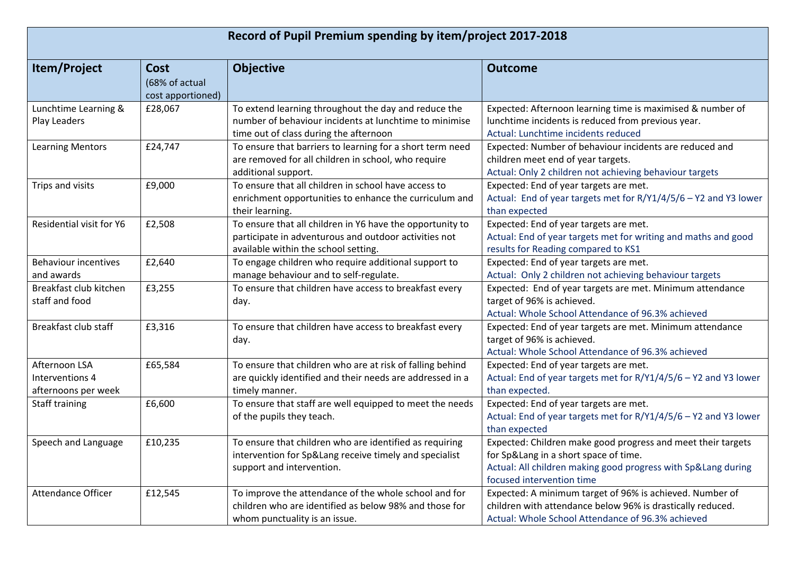| Record of Pupil Premium spending by item/project 2017-2018 |                                                    |                                                                                                                                                            |                                                                                                                                                                                             |
|------------------------------------------------------------|----------------------------------------------------|------------------------------------------------------------------------------------------------------------------------------------------------------------|---------------------------------------------------------------------------------------------------------------------------------------------------------------------------------------------|
| Item/Project                                               | <b>Cost</b><br>(68% of actual<br>cost apportioned) | <b>Objective</b>                                                                                                                                           | <b>Outcome</b>                                                                                                                                                                              |
| Lunchtime Learning &<br>Play Leaders                       | £28,067                                            | To extend learning throughout the day and reduce the<br>number of behaviour incidents at lunchtime to minimise<br>time out of class during the afternoon   | Expected: Afternoon learning time is maximised & number of<br>lunchtime incidents is reduced from previous year.<br>Actual: Lunchtime incidents reduced                                     |
| <b>Learning Mentors</b>                                    | £24,747                                            | To ensure that barriers to learning for a short term need<br>are removed for all children in school, who require<br>additional support.                    | Expected: Number of behaviour incidents are reduced and<br>children meet end of year targets.<br>Actual: Only 2 children not achieving behaviour targets                                    |
| Trips and visits                                           | £9,000                                             | To ensure that all children in school have access to<br>enrichment opportunities to enhance the curriculum and<br>their learning.                          | Expected: End of year targets are met.<br>Actual: End of year targets met for R/Y1/4/5/6 - Y2 and Y3 lower<br>than expected                                                                 |
| Residential visit for Y6                                   | £2,508                                             | To ensure that all children in Y6 have the opportunity to<br>participate in adventurous and outdoor activities not<br>available within the school setting. | Expected: End of year targets are met.<br>Actual: End of year targets met for writing and maths and good<br>results for Reading compared to KS1                                             |
| <b>Behaviour incentives</b><br>and awards                  | £2,640                                             | To engage children who require additional support to<br>manage behaviour and to self-regulate.                                                             | Expected: End of year targets are met.<br>Actual: Only 2 children not achieving behaviour targets                                                                                           |
| Breakfast club kitchen<br>staff and food                   | £3,255                                             | To ensure that children have access to breakfast every<br>day.                                                                                             | Expected: End of year targets are met. Minimum attendance<br>target of 96% is achieved.<br>Actual: Whole School Attendance of 96.3% achieved                                                |
| Breakfast club staff                                       | £3,316                                             | To ensure that children have access to breakfast every<br>day.                                                                                             | Expected: End of year targets are met. Minimum attendance<br>target of 96% is achieved.<br>Actual: Whole School Attendance of 96.3% achieved                                                |
| Afternoon LSA<br>Interventions 4<br>afternoons per week    | £65,584                                            | To ensure that children who are at risk of falling behind<br>are quickly identified and their needs are addressed in a<br>timely manner.                   | Expected: End of year targets are met.<br>Actual: End of year targets met for R/Y1/4/5/6 - Y2 and Y3 lower<br>than expected.                                                                |
| Staff training                                             | £6,600                                             | To ensure that staff are well equipped to meet the needs<br>of the pupils they teach.                                                                      | Expected: End of year targets are met.<br>Actual: End of year targets met for R/Y1/4/5/6 - Y2 and Y3 lower<br>than expected                                                                 |
| Speech and Language                                        | £10,235                                            | To ensure that children who are identified as requiring<br>intervention for Sp⟪ receive timely and specialist<br>support and intervention.                 | Expected: Children make good progress and meet their targets<br>for Sp⟪ in a short space of time.<br>Actual: All children making good progress with Sp⟪ during<br>focused intervention time |
| Attendance Officer                                         | £12,545                                            | To improve the attendance of the whole school and for<br>children who are identified as below 98% and those for<br>whom punctuality is an issue.           | Expected: A minimum target of 96% is achieved. Number of<br>children with attendance below 96% is drastically reduced.<br>Actual: Whole School Attendance of 96.3% achieved                 |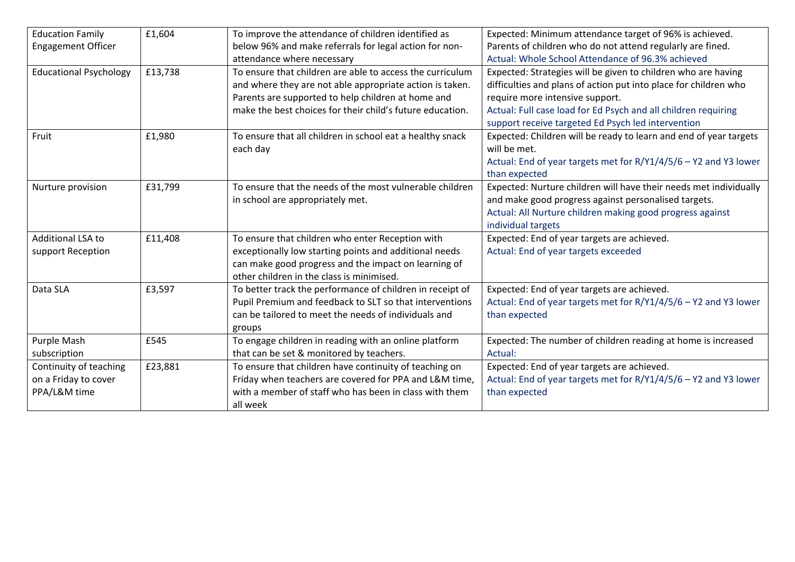| <b>Education Family</b>       | £1,604  | To improve the attendance of children identified as       | Expected: Minimum attendance target of 96% is achieved.           |
|-------------------------------|---------|-----------------------------------------------------------|-------------------------------------------------------------------|
| <b>Engagement Officer</b>     |         | below 96% and make referrals for legal action for non-    | Parents of children who do not attend regularly are fined.        |
|                               |         | attendance where necessary                                | Actual: Whole School Attendance of 96.3% achieved                 |
| <b>Educational Psychology</b> | £13,738 | To ensure that children are able to access the curriculum | Expected: Strategies will be given to children who are having     |
|                               |         | and where they are not able appropriate action is taken.  | difficulties and plans of action put into place for children who  |
|                               |         | Parents are supported to help children at home and        | require more intensive support.                                   |
|                               |         | make the best choices for their child's future education. | Actual: Full case load for Ed Psych and all children requiring    |
|                               |         |                                                           | support receive targeted Ed Psych led intervention                |
| Fruit                         | £1,980  | To ensure that all children in school eat a healthy snack | Expected: Children will be ready to learn and end of year targets |
|                               |         | each day                                                  | will be met.                                                      |
|                               |         |                                                           | Actual: End of year targets met for R/Y1/4/5/6 - Y2 and Y3 lower  |
|                               |         |                                                           | than expected                                                     |
| Nurture provision             | £31,799 | To ensure that the needs of the most vulnerable children  | Expected: Nurture children will have their needs met individually |
|                               |         | in school are appropriately met.                          | and make good progress against personalised targets.              |
|                               |         |                                                           | Actual: All Nurture children making good progress against         |
|                               |         |                                                           | individual targets                                                |
| Additional LSA to             | £11,408 | To ensure that children who enter Reception with          | Expected: End of year targets are achieved.                       |
| support Reception             |         | exceptionally low starting points and additional needs    | Actual: End of year targets exceeded                              |
|                               |         | can make good progress and the impact on learning of      |                                                                   |
|                               |         | other children in the class is minimised.                 |                                                                   |
| Data SLA                      | £3,597  | To better track the performance of children in receipt of | Expected: End of year targets are achieved.                       |
|                               |         | Pupil Premium and feedback to SLT so that interventions   | Actual: End of year targets met for R/Y1/4/5/6 - Y2 and Y3 lower  |
|                               |         | can be tailored to meet the needs of individuals and      | than expected                                                     |
|                               |         | groups                                                    |                                                                   |
| Purple Mash                   | £545    | To engage children in reading with an online platform     | Expected: The number of children reading at home is increased     |
| subscription                  |         | that can be set & monitored by teachers.                  | Actual:                                                           |
| Continuity of teaching        | £23,881 | To ensure that children have continuity of teaching on    | Expected: End of year targets are achieved.                       |
| on a Friday to cover          |         | Friday when teachers are covered for PPA and L&M time,    | Actual: End of year targets met for R/Y1/4/5/6 - Y2 and Y3 lower  |
| PPA/L&M time                  |         | with a member of staff who has been in class with them    | than expected                                                     |
|                               |         | all week                                                  |                                                                   |